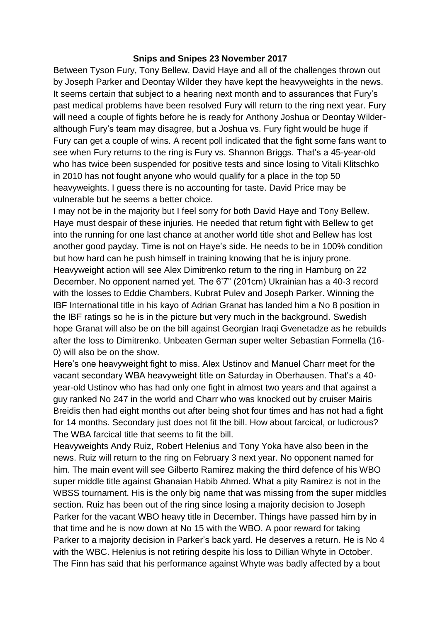## **Snips and Snipes 23 November 2017**

Between Tyson Fury, Tony Bellew, David Haye and all of the challenges thrown out by Joseph Parker and Deontay Wilder they have kept the heavyweights in the news. It seems certain that subject to a hearing next month and to assurances that Fury's past medical problems have been resolved Fury will return to the ring next year. Fury will need a couple of fights before he is ready for Anthony Joshua or Deontay Wilderalthough Fury's team may disagree, but a Joshua vs. Fury fight would be huge if Fury can get a couple of wins. A recent poll indicated that the fight some fans want to see when Fury returns to the ring is Fury vs. Shannon Briggs. That's a 45-year-old who has twice been suspended for positive tests and since losing to Vitali Klitschko in 2010 has not fought anyone who would qualify for a place in the top 50 heavyweights. I guess there is no accounting for taste. David Price may be vulnerable but he seems a better choice.

I may not be in the majority but I feel sorry for both David Haye and Tony Bellew. Haye must despair of these injuries. He needed that return fight with Bellew to get into the running for one last chance at another world title shot and Bellew has lost another good payday. Time is not on Haye's side. He needs to be in 100% condition but how hard can he push himself in training knowing that he is injury prone. Heavyweight action will see Alex Dimitrenko return to the ring in Hamburg on 22 December. No opponent named yet. The 6'7" (201cm) Ukrainian has a 40-3 record with the losses to Eddie Chambers, Kubrat Pulev and Joseph Parker. Winning the IBF International title in his kayo of Adrian Granat has landed him a No 8 position in the IBF ratings so he is in the picture but very much in the background. Swedish hope Granat will also be on the bill against Georgian Iraqi Gvenetadze as he rebuilds after the loss to Dimitrenko. Unbeaten German super welter Sebastian Formella (16- 0) will also be on the show.

Here's one heavyweight fight to miss. Alex Ustinov and Manuel Charr meet for the vacant secondary WBA heavyweight title on Saturday in Oberhausen. That's a 40 year-old Ustinov who has had only one fight in almost two years and that against a guy ranked No 247 in the world and Charr who was knocked out by cruiser Mairis Breidis then had eight months out after being shot four times and has not had a fight for 14 months. Secondary just does not fit the bill. How about farcical, or ludicrous? The WBA farcical title that seems to fit the bill.

Heavyweights Andy Ruiz, Robert Helenius and Tony Yoka have also been in the news. Ruiz will return to the ring on February 3 next year. No opponent named for him. The main event will see Gilberto Ramirez making the third defence of his WBO super middle title against Ghanaian Habib Ahmed. What a pity Ramirez is not in the WBSS tournament. His is the only big name that was missing from the super middles section. Ruiz has been out of the ring since losing a majority decision to Joseph Parker for the vacant WBO heavy title in December. Things have passed him by in that time and he is now down at No 15 with the WBO. A poor reward for taking Parker to a majority decision in Parker's back yard. He deserves a return. He is No 4 with the WBC. Helenius is not retiring despite his loss to Dillian Whyte in October. The Finn has said that his performance against Whyte was badly affected by a bout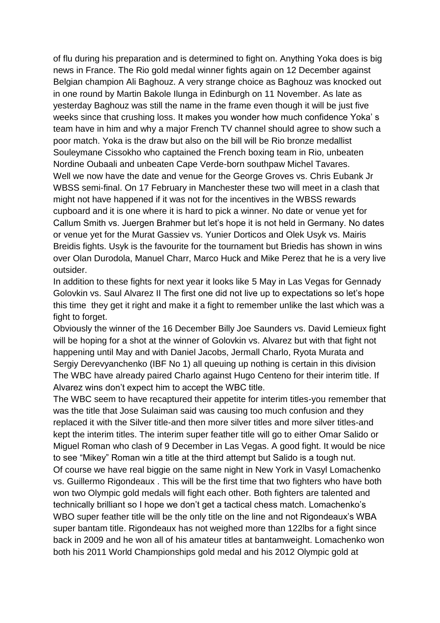of flu during his preparation and is determined to fight on. Anything Yoka does is big news in France. The Rio gold medal winner fights again on 12 December against Belgian champion Ali Baghouz. A very strange choice as Baghouz was knocked out in one round by Martin Bakole Ilunga in Edinburgh on 11 November. As late as yesterday Baghouz was still the name in the frame even though it will be just five weeks since that crushing loss. It makes you wonder how much confidence Yoka' s team have in him and why a major French TV channel should agree to show such a poor match. Yoka is the draw but also on the bill will be Rio bronze medallist Souleymane Cissokho who captained the French boxing team in Rio, unbeaten Nordine Oubaali and unbeaten Cape Verde-born southpaw Michel Tavares. Well we now have the date and venue for the George Groves vs. Chris Eubank Jr WBSS semi-final. On 17 February in Manchester these two will meet in a clash that might not have happened if it was not for the incentives in the WBSS rewards cupboard and it is one where it is hard to pick a winner. No date or venue yet for Callum Smith vs. Juergen Brahmer but let's hope it is not held in Germany. No dates or venue yet for the Murat Gassiev vs. Yunier Dorticos and Olek Usyk vs. Mairis Breidis fights. Usyk is the favourite for the tournament but Briedis has shown in wins over Olan Durodola, Manuel Charr, Marco Huck and Mike Perez that he is a very live outsider.

In addition to these fights for next year it looks like 5 May in Las Vegas for Gennady Golovkin vs. Saul Alvarez II The first one did not live up to expectations so let's hope this time they get it right and make it a fight to remember unlike the last which was a fight to forget.

Obviously the winner of the 16 December Billy Joe Saunders vs. David Lemieux fight will be hoping for a shot at the winner of Golovkin vs. Alvarez but with that fight not happening until May and with Daniel Jacobs, Jermall Charlo, Ryota Murata and Sergiy Derevyanchenko (IBF No 1) all queuing up nothing is certain in this division The WBC have already paired Charlo against Hugo Centeno for their interim title. If Alvarez wins don't expect him to accept the WBC title.

The WBC seem to have recaptured their appetite for interim titles-you remember that was the title that Jose Sulaiman said was causing too much confusion and they replaced it with the Silver title-and then more silver titles and more silver titles-and kept the interim titles. The interim super feather title will go to either Omar Salido or Miguel Roman who clash of 9 December in Las Vegas. A good fight. It would be nice to see "Mikey" Roman win a title at the third attempt but Salido is a tough nut. Of course we have real biggie on the same night in New York in Vasyl Lomachenko vs. Guillermo Rigondeaux . This will be the first time that two fighters who have both won two Olympic gold medals will fight each other. Both fighters are talented and technically brilliant so I hope we don't get a tactical chess match. Lomachenko's WBO super feather title will be the only title on the line and not Rigondeaux's WBA super bantam title. Rigondeaux has not weighed more than 122lbs for a fight since back in 2009 and he won all of his amateur titles at bantamweight. Lomachenko won both his 2011 World Championships gold medal and his 2012 Olympic gold at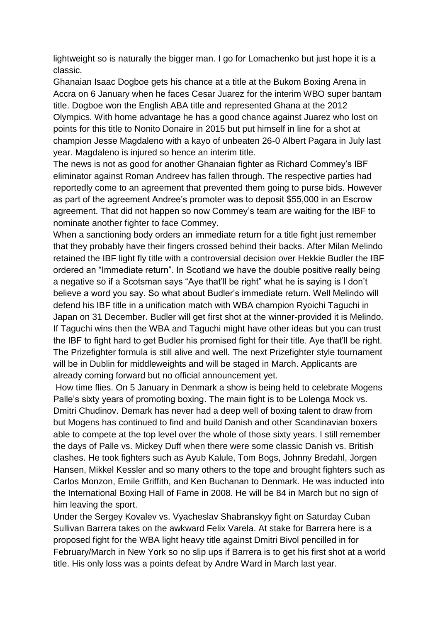lightweight so is naturally the bigger man. I go for Lomachenko but just hope it is a classic.

Ghanaian Isaac Dogboe gets his chance at a title at the Bukom Boxing Arena in Accra on 6 January when he faces Cesar Juarez for the interim WBO super bantam title. Dogboe won the English ABA title and represented Ghana at the 2012 Olympics. With home advantage he has a good chance against Juarez who lost on points for this title to Nonito Donaire in 2015 but put himself in line for a shot at champion Jesse Magdaleno with a kayo of unbeaten 26-0 Albert Pagara in July last year. Magdaleno is injured so hence an interim title.

The news is not as good for another Ghanaian fighter as Richard Commey's IBF eliminator against Roman Andreev has fallen through. The respective parties had reportedly come to an agreement that prevented them going to purse bids. However as part of the agreement Andree's promoter was to deposit \$55,000 in an Escrow agreement. That did not happen so now Commey's team are waiting for the IBF to nominate another fighter to face Commey.

When a sanctioning body orders an immediate return for a title fight just remember that they probably have their fingers crossed behind their backs. After Milan Melindo retained the IBF light fly title with a controversial decision over Hekkie Budler the IBF ordered an "Immediate return". In Scotland we have the double positive really being a negative so if a Scotsman says "Aye that'll be right" what he is saying is I don't believe a word you say. So what about Budler's immediate return. Well Melindo will defend his IBF title in a unification match with WBA champion Ryoichi Taguchi in Japan on 31 December. Budler will get first shot at the winner-provided it is Melindo. If Taguchi wins then the WBA and Taguchi might have other ideas but you can trust the IBF to fight hard to get Budler his promised fight for their title. Aye that'll be right. The Prizefighter formula is still alive and well. The next Prizefighter style tournament will be in Dublin for middleweights and will be staged in March. Applicants are already coming forward but no official announcement yet.

How time flies. On 5 January in Denmark a show is being held to celebrate Mogens Palle's sixty years of promoting boxing. The main fight is to be Lolenga Mock vs. Dmitri Chudinov. Demark has never had a deep well of boxing talent to draw from but Mogens has continued to find and build Danish and other Scandinavian boxers able to compete at the top level over the whole of those sixty years. I still remember the days of Palle vs. Mickey Duff when there were some classic Danish vs. British clashes. He took fighters such as Ayub Kalule, Tom Bogs, Johnny Bredahl, Jorgen Hansen, Mikkel Kessler and so many others to the tope and brought fighters such as Carlos Monzon, Emile Griffith, and Ken Buchanan to Denmark. He was inducted into the International Boxing Hall of Fame in 2008. He will be 84 in March but no sign of him leaving the sport.

Under the Sergey Kovalev vs. Vyacheslav Shabranskyy fight on Saturday Cuban Sullivan Barrera takes on the awkward Felix Varela. At stake for Barrera here is a proposed fight for the WBA light heavy title against Dmitri Bivol pencilled in for February/March in New York so no slip ups if Barrera is to get his first shot at a world title. His only loss was a points defeat by Andre Ward in March last year.